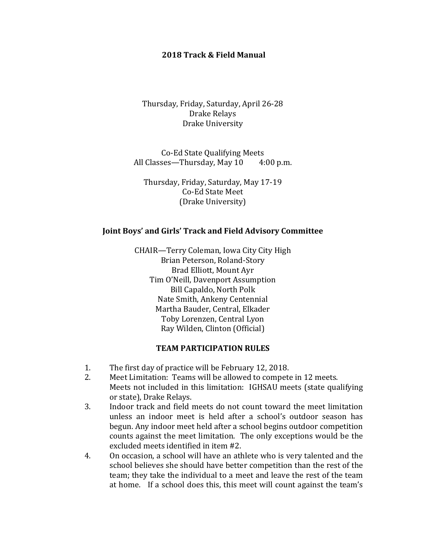#### **2018 Track & Field Manual**

Thursday, Friday, Saturday, April 26-28 Drake Relays Drake University

Co-Ed State Qualifying Meets All Classes—Thursday, May  $10 \qquad 4:00 \text{ p.m.}$ 

Thursday, Friday, Saturday, May 17-19 Co-Ed State Meet (Drake University)

#### **Joint Boys' and Girls' Track and Field Advisory Committee**

CHAIR—Terry Coleman, Iowa City City High Brian Peterson, Roland-Story Brad Elliott, Mount Ayr Tim O'Neill, Davenport Assumption Bill Capaldo, North Polk Nate Smith, Ankeny Centennial Martha Bauder, Central, Elkader Toby Lorenzen, Central Lyon Ray Wilden, Clinton (Official) 

### **TEAM PARTICIPATION RULES**

- 1. The first day of practice will be February 12, 2018.
- 2. Meet Limitation: Teams will be allowed to compete in 12 meets. Meets not included in this limitation: IGHSAU meets (state qualifying or state), Drake Relays.
- 3. Indoor track and field meets do not count toward the meet limitation unless an indoor meet is held after a school's outdoor season has begun. Any indoor meet held after a school begins outdoor competition counts against the meet limitation. The only exceptions would be the excluded meets identified in item #2.
- 4. On occasion, a school will have an athlete who is very talented and the school believes she should have better competition than the rest of the team; they take the individual to a meet and leave the rest of the team at home. If a school does this, this meet will count against the team's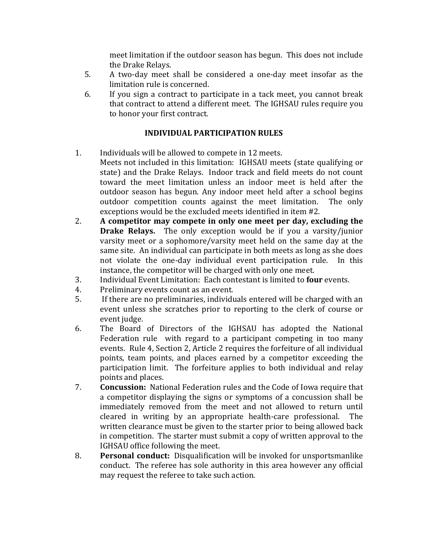meet limitation if the outdoor season has begun. This does not include the Drake Relays.

- 5. A two-day meet shall be considered a one-day meet insofar as the limitation rule is concerned.
- 6. If you sign a contract to participate in a tack meet, you cannot break that contract to attend a different meet. The IGHSAU rules require you to honor your first contract.

# **INDIVIDUAL PARTICIPATION RULES**

- 1. Individuals will be allowed to compete in 12 meets. Meets not included in this limitation: IGHSAU meets (state qualifying or state) and the Drake Relays. Indoor track and field meets do not count toward the meet limitation unless an indoor meet is held after the outdoor season has begun. Any indoor meet held after a school begins outdoor competition counts against the meet limitation. The only exceptions would be the excluded meets identified in item #2.
- 2. A competitor may compete in only one meet per day, excluding the **Drake Relays.** The only exception would be if you a varsity/junior varsity meet or a sophomore/varsity meet held on the same day at the same site. An individual can participate in both meets as long as she does not violate the one-day individual event participation rule. In this instance, the competitor will be charged with only one meet.
- 3. Individual Event Limitation: Each contestant is limited to **four** events.
- 4. Preliminary events count as an event.
- 5. If there are no preliminaries, individuals entered will be charged with an event unless she scratches prior to reporting to the clerk of course or event judge.
- 6. The Board of Directors of the IGHSAU has adopted the National Federation rule with regard to a participant competing in too many events. Rule 4, Section 2, Article 2 requires the forfeiture of all individual points, team points, and places earned by a competitor exceeding the participation limit. The forfeiture applies to both individual and relay points and places.
- 7. **Concussion:** National Federation rules and the Code of Iowa require that a competitor displaying the signs or symptoms of a concussion shall be immediately removed from the meet and not allowed to return until cleared in writing by an appropriate health-care professional. The written clearance must be given to the starter prior to being allowed back in competition. The starter must submit a copy of written approval to the IGHSAU office following the meet.
- 8. **Personal conduct:** Disqualification will be invoked for unsportsmanlike conduct. The referee has sole authority in this area however any official may request the referee to take such action.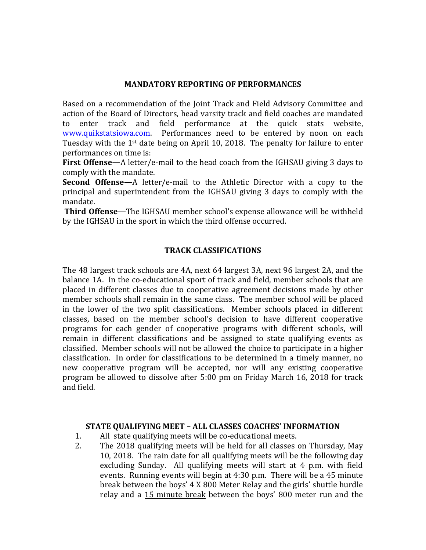### **MANDATORY REPORTING OF PERFORMANCES**

Based on a recommendation of the Joint Track and Field Advisory Committee and action of the Board of Directors, head varsity track and field coaches are mandated to enter track and field performance at the quick stats website, www.quikstatsiowa.com. Performances need to be entered by noon on each Tuesday with the  $1^{st}$  date being on April 10, 2018. The penalty for failure to enter performances on time is:

**First Offense—**A letter/e-mail to the head coach from the IGHSAU giving 3 days to comply with the mandate.

**Second Offense—**A letter/e-mail to the Athletic Director with a copy to the principal and superintendent from the IGHSAU giving 3 days to comply with the mandate. 

**Third Offense—**The IGHSAU member school's expense allowance will be withheld by the IGHSAU in the sport in which the third offense occurred.

# **TRACK CLASSIFICATIONS**

The 48 largest track schools are 4A, next 64 largest 3A, next 96 largest 2A, and the balance 1A. In the co-educational sport of track and field, member schools that are placed in different classes due to cooperative agreement decisions made by other member schools shall remain in the same class. The member school will be placed in the lower of the two split classifications. Member schools placed in different classes, based on the member school's decision to have different cooperative programs for each gender of cooperative programs with different schools, will remain in different classifications and be assigned to state qualifying events as classified. Member schools will not be allowed the choice to participate in a higher classification. In order for classifications to be determined in a timely manner, no new cooperative program will be accepted, nor will any existing cooperative program be allowed to dissolve after 5:00 pm on Friday March 16, 2018 for track and field. 

#### **STATE QUALIFYING MEET – ALL CLASSES COACHES' INFORMATION**

- 1. All state qualifying meets will be co-educational meets.
- 2. The 2018 qualifying meets will be held for all classes on Thursday, May 10, 2018. The rain date for all qualifying meets will be the following day excluding Sunday. All qualifying meets will start at  $4$  p.m. with field events. Running events will begin at  $4:30$  p.m. There will be a  $45$  minute break between the boys' 4 X 800 Meter Relay and the girls' shuttle hurdle relay and a 15 minute break between the boys' 800 meter run and the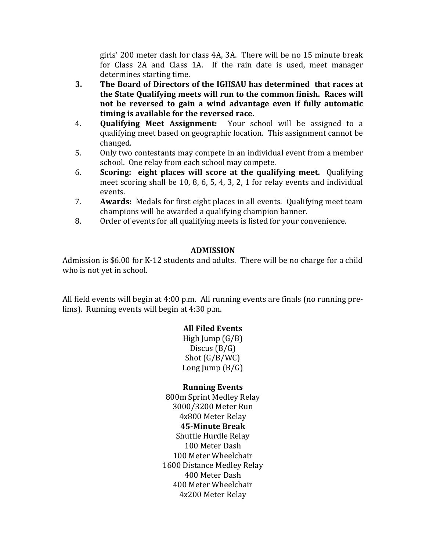girls' 200 meter dash for class 4A, 3A. There will be no 15 minute break for Class 2A and Class 1A. If the rain date is used, meet manager determines starting time.

- **3.** The Board of Directors of the IGHSAU has determined that races at **the State Qualifying meets will run to the common finish. Races will not be reversed to gain a wind advantage even if fully automatic timing is available for the reversed race.**
- 4. **Qualifying Meet Assignment:** Your school will be assigned to a qualifying meet based on geographic location. This assignment cannot be changed.
- 5. Only two contestants may compete in an individual event from a member school. One relay from each school may compete.
- 6. **Scoring: eight places will score at the qualifying meet.** Qualifying meet scoring shall be 10, 8, 6, 5, 4, 3, 2, 1 for relay events and individual events.
- 7. **Awards:** Medals for first eight places in all events. Oualifying meet team champions will be awarded a qualifying champion banner.
- 8. Order of events for all qualifying meets is listed for your convenience.

# **ADMISSION**

Admission is  $$6.00$  for K-12 students and adults. There will be no charge for a child who is not yet in school.

All field events will begin at  $4:00$  p.m. All running events are finals (no running prelims). Running events will begin at 4:30 p.m.

# **All Filed Events**

High Jump  $(G/B)$ Discus  $(B/G)$ Shot  $(G/B/WC)$ Long  $\text{lump}$   $\text{(B/G)}$ 

# **Running Events**

800m Sprint Medley Relay 3000/3200 Meter Run 4x800 Meter Relay **45-Minute Break** Shuttle Hurdle Relay 100 Meter Dash 100 Meter Wheelchair 1600 Distance Medley Relay 400 Meter Dash 400 Meter Wheelchair 4x200 Meter Relay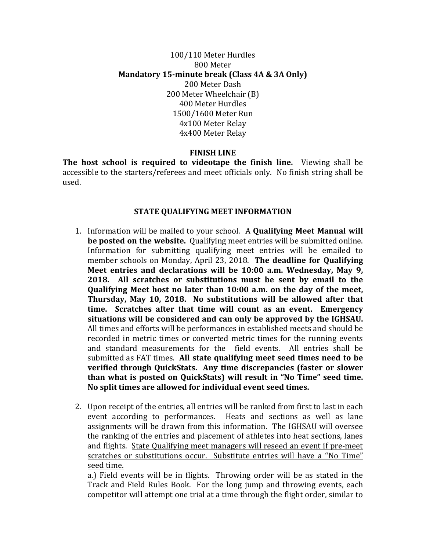# 100/110 Meter Hurdles 800 Meter **Mandatory 15-minute break (Class 4A & 3A Only)** 200 Meter Dash 200 Meter Wheelchair (B) 400 Meter Hurdles 1500/1600 Meter Run 4x100 Meter Relay 4x400 Meter Relay

### **FINISH LINE**

**The host school is required to videotape the finish line.** Viewing shall be accessible to the starters/referees and meet officials only. No finish string shall be used. 

#### **STATE QUALIFYING MEET INFORMATION**

- 1. Information will be mailed to your school. A **Qualifying Meet Manual will be posted** on the website. Qualifying meet entries will be submitted online. Information for submitting qualifying meet entries will be emailed to member schools on Monday, April 23, 2018. The deadline for Qualifying Meet entries and declarations will be 10:00 a.m. Wednesday, May 9, **2018.** All scratches or substitutions must be sent by email to the **Qualifying Meet host no later than 10:00 a.m. on the day of the meet, Thursday, May 10, 2018. No substitutions will be allowed after that time.** Scratches after that time will count as an event. Emergency situations will be considered and can only be approved by the IGHSAU. All times and efforts will be performances in established meets and should be recorded in metric times or converted metric times for the running events and standard measurements for the field events. All entries shall be submitted as FAT times. All state qualifying meet seed times need to be **verified through QuickStats. Any time discrepancies (faster or slower than what is posted on QuickStats) will result in "No Time" seed time.** No split times are allowed for individual event seed times.
- 2. Upon receipt of the entries, all entries will be ranked from first to last in each event according to performances. Heats and sections as well as lane assignments will be drawn from this information. The IGHSAU will oversee the ranking of the entries and placement of athletes into heat sections, lanes and flights. State Qualifying meet managers will reseed an event if pre-meet scratches or substitutions occur. Substitute entries will have a "No Time" seed time.

a.) Field events will be in flights. Throwing order will be as stated in the Track and Field Rules Book. For the long jump and throwing events, each competitor will attempt one trial at a time through the flight order, similar to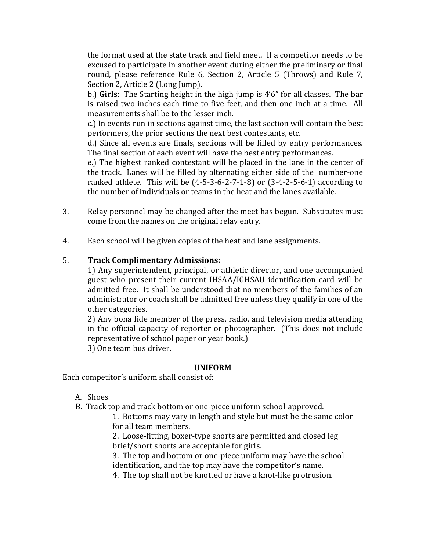the format used at the state track and field meet. If a competitor needs to be excused to participate in another event during either the preliminary or final round, please reference Rule 6, Section 2, Article 5 (Throws) and Rule 7, Section 2, Article 2 (Long Jump).

b.) **Girls**: The Starting height in the high jump is 4'6" for all classes. The bar is raised two inches each time to five feet, and then one inch at a time. All measurements shall be to the lesser inch.

c.) In events run in sections against time, the last section will contain the best performers, the prior sections the next best contestants, etc.

d.) Since all events are finals, sections will be filled by entry performances. The final section of each event will have the best entry performances.

e.) The highest ranked contestant will be placed in the lane in the center of the track. Lanes will be filled by alternating either side of the number-one ranked athlete. This will be  $(4-5-3-6-2-7-1-8)$  or  $(3-4-2-5-6-1)$  according to the number of individuals or teams in the heat and the lanes available.

- 3. Relay personnel may be changed after the meet has begun. Substitutes must come from the names on the original relay entry.
- 4. Each school will be given copies of the heat and lane assignments.

# 5. **Track Complimentary Admissions:**

1) Any superintendent, principal, or athletic director, and one accompanied guest who present their current IHSAA/IGHSAU identification card will be admitted free. It shall be understood that no members of the families of an administrator or coach shall be admitted free unless they qualify in one of the other categories.

2) Any bona fide member of the press, radio, and television media attending in the official capacity of reporter or photographer. (This does not include representative of school paper or year book.)

3) One team bus driver.

# **UNIFORM**

Each competitor's uniform shall consist of:

- A. Shoes
- B. Track top and track bottom or one-piece uniform school-approved.

1. Bottoms may vary in length and style but must be the same color for all team members.

2. Loose-fitting, boxer-type shorts are permitted and closed leg brief/short shorts are acceptable for girls.

3. The top and bottom or one-piece uniform may have the school identification, and the top may have the competitor's name.

4. The top shall not be knotted or have a knot-like protrusion.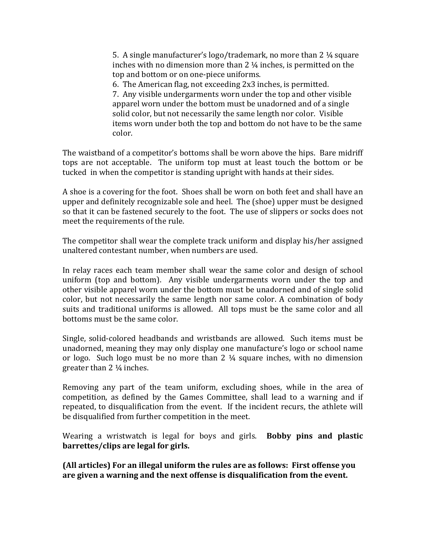5. A single manufacturer's  $logo$ /trademark, no more than 2  $\frac{1}{4}$  square inches with no dimension more than  $2\frac{1}{4}$  inches, is permitted on the top and bottom or on one-piece uniforms.

6. The American flag, not exceeding  $2x3$  inches, is permitted. 7. Any visible undergarments worn under the top and other visible apparel worn under the bottom must be unadorned and of a single solid color, but not necessarily the same length nor color. Visible items worn under both the top and bottom do not have to be the same color. 

The waistband of a competitor's bottoms shall be worn above the hips. Bare midriff tops are not acceptable. The uniform top must at least touch the bottom or be tucked in when the competitor is standing upright with hands at their sides.

A shoe is a covering for the foot. Shoes shall be worn on both feet and shall have an upper and definitely recognizable sole and heel. The (shoe) upper must be designed so that it can be fastened securely to the foot. The use of slippers or socks does not meet the requirements of the rule.

The competitor shall wear the complete track uniform and display his/her assigned unaltered contestant number, when numbers are used.

In relay races each team member shall wear the same color and design of school uniform (top and bottom). Any visible undergarments worn under the top and other visible apparel worn under the bottom must be unadorned and of single solid color, but not necessarily the same length nor same color. A combination of body suits and traditional uniforms is allowed. All tops must be the same color and all bottoms must be the same color.

Single, solid-colored headbands and wristbands are allowed. Such items must be unadorned, meaning they may only display one manufacture's logo or school name or logo. Such logo must be no more than  $2 \frac{1}{4}$  square inches, with no dimension greater than  $2\frac{1}{4}$  inches.

Removing any part of the team uniform, excluding shoes, while in the area of competition, as defined by the Games Committee, shall lead to a warning and if repeated, to disqualification from the event. If the incident recurs, the athlete will be disqualified from further competition in the meet.

Wearing a wristwatch is legal for boys and girls. **Bobby pins and plastic barrettes/clips are legal for girls.** 

**(All articles)** For an illegal uniform the rules are as follows: First offense you are given a warning and the next offense is disqualification from the event.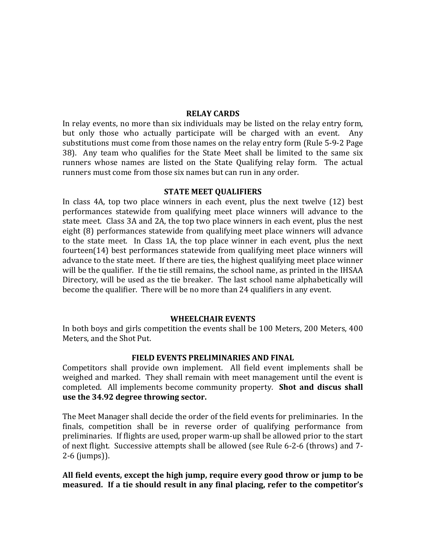#### **RELAY CARDS**

In relay events, no more than six individuals may be listed on the relay entry form, but only those who actually participate will be charged with an event. Any substitutions must come from those names on the relay entry form (Rule 5-9-2 Page 38). Any team who qualifies for the State Meet shall be limited to the same six runners whose names are listed on the State Qualifying relay form. The actual runners must come from those six names but can run in any order.

#### **STATE MEET OUALIFIERS**

In class  $4A$ , top two place winners in each event, plus the next twelve  $(12)$  best performances statewide from qualifying meet place winners will advance to the state meet. Class  $3A$  and  $2A$ , the top two place winners in each event, plus the nest eight (8) performances statewide from qualifying meet place winners will advance to the state meet. In Class 1A, the top place winner in each event, plus the next fourteen(14) best performances statewide from qualifying meet place winners will advance to the state meet. If there are ties, the highest qualifying meet place winner will be the qualifier. If the tie still remains, the school name, as printed in the IHSAA Directory, will be used as the tie breaker. The last school name alphabetically will become the qualifier. There will be no more than 24 qualifiers in any event.

#### **WHEELCHAIR EVENTS**

In both boys and girls competition the events shall be 100 Meters, 200 Meters, 400 Meters, and the Shot Put.

#### **FIELD EVENTS PRELIMINARIES AND FINAL**

Competitors shall provide own implement. All field event implements shall be weighed and marked. They shall remain with meet management until the event is completed. All implements become community property. **Shot and discus shall** use the 34.92 degree throwing sector.

The Meet Manager shall decide the order of the field events for preliminaries. In the finals, competition shall be in reverse order of qualifying performance from preliminaries. If flights are used, proper warm-up shall be allowed prior to the start of next flight. Successive attempts shall be allowed (see Rule 6-2-6 (throws) and 7-2-6 (jumps)).

### All field events, except the high jump, require every good throw or jump to be measured. If a tie should result in any final placing, refer to the competitor's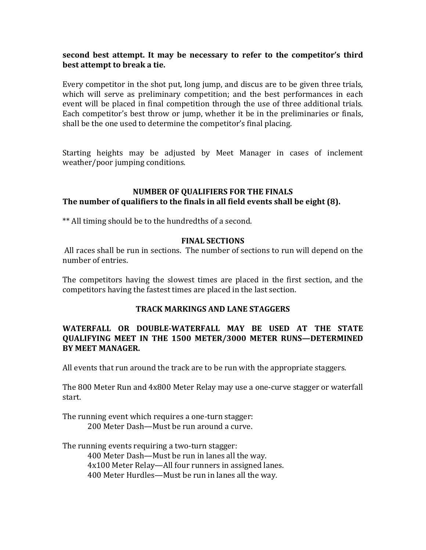# **second best attempt.** It may be necessary to refer to the competitor's third best attempt to break a tie.

Every competitor in the shot put, long jump, and discus are to be given three trials, which will serve as preliminary competition; and the best performances in each event will be placed in final competition through the use of three additional trials. Each competitor's best throw or jump, whether it be in the preliminaries or finals, shall be the one used to determine the competitor's final placing.

Starting heights may be adjusted by Meet Manager in cases of inclement weather/poor jumping conditions.

### **NUMBER OF OUALIFIERS FOR THE FINALS** The number of qualifiers to the finals in all field events shall be eight (8).

\*\* All timing should be to the hundredths of a second.

# **FINAL SECTIONS**

All races shall be run in sections. The number of sections to run will depend on the number of entries.

The competitors having the slowest times are placed in the first section, and the competitors having the fastest times are placed in the last section.

# **TRACK MARKINGS AND LANE STAGGERS**

# WATERFALL OR DOUBLE-WATERFALL MAY BE USED AT THE STATE **QUALIFYING MEET IN THE 1500 METER/3000 METER RUNS—DETERMINED BY MEET MANAGER.**

All events that run around the track are to be run with the appropriate staggers.

The 800 Meter Run and 4x800 Meter Relay may use a one-curve stagger or waterfall start. 

The running event which requires a one-turn stagger: 200 Meter Dash—Must be run around a curve.

The running events requiring a two-turn stagger:

400 Meter Dash—Must be run in lanes all the way. 4x100 Meter Relay—All four runners in assigned lanes. 400 Meter Hurdles—Must be run in lanes all the way.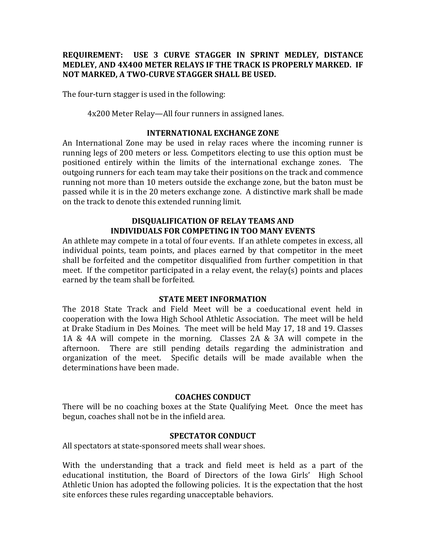## **REQUIREMENT: USE 3 CURVE STAGGER IN SPRINT MEDLEY, DISTANCE MEDLEY, AND 4X400 METER RELAYS IF THE TRACK IS PROPERLY MARKED. IF NOT MARKED, A TWO-CURVE STAGGER SHALL BE USED.**

The four-turn stagger is used in the following:

4x200 Meter Relay—All four runners in assigned lanes.

#### **INTERNATIONAL EXCHANGE ZONE**

An International Zone may be used in relay races where the incoming runner is running legs of 200 meters or less. Competitors electing to use this option must be positioned entirely within the limits of the international exchange zones. The outgoing runners for each team may take their positions on the track and commence running not more than 10 meters outside the exchange zone, but the baton must be passed while it is in the 20 meters exchange zone. A distinctive mark shall be made on the track to denote this extended running limit.

## **DISQUALIFICATION OF RELAY TEAMS AND INDIVIDUALS FOR COMPETING IN TOO MANY EVENTS**

An athlete may compete in a total of four events. If an athlete competes in excess, all individual points, team points, and places earned by that competitor in the meet shall be forfeited and the competitor disqualified from further competition in that meet. If the competitor participated in a relay event, the relay(s) points and places earned by the team shall be forfeited.

#### **STATE MEET INFORMATION**

The 2018 State Track and Field Meet will be a coeducational event held in cooperation with the Iowa High School Athletic Association. The meet will be held at Drake Stadium in Des Moines. The meet will be held May 17, 18 and 19. Classes 1A & 4A will compete in the morning. Classes 2A & 3A will compete in the afternoon. There are still pending details regarding the administration and organization of the meet. Specific details will be made available when the determinations have been made.

### **COACHES CONDUCT**

There will be no coaching boxes at the State Qualifying Meet. Once the meet has begun, coaches shall not be in the infield area.

### **SPECTATOR CONDUCT**

All spectators at state-sponsored meets shall wear shoes.

With the understanding that a track and field meet is held as a part of the educational institution, the Board of Directors of the Iowa Girls' High School Athletic Union has adopted the following policies. It is the expectation that the host site enforces these rules regarding unacceptable behaviors.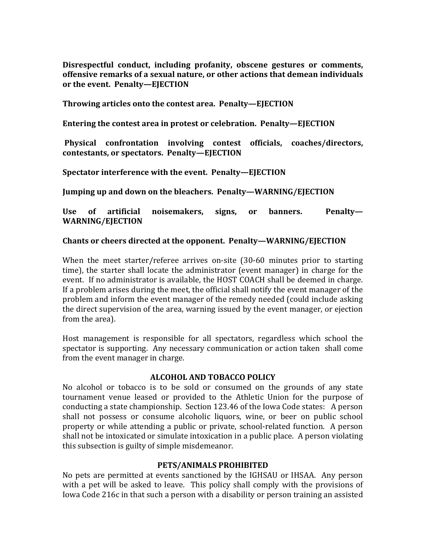Disrespectful conduct, including profanity, obscene gestures or comments, offensive remarks of a sexual nature, or other actions that demean individuals or the event. Penalty-EJECTION

**Throwing articles onto the contest area. Penalty—EJECTION** 

**Entering the contest area in protest or celebration. Penalty—EJECTION** 

**Physical confrontation involving contest officials, coaches/directors, contestants, or spectators. Penalty—EJECTION**

**Spectator interference with the event. Penalty—EJECTION** 

**Jumping up and down on the bleachers. Penalty—WARNING/EJECTION** 

Use of artificial noisemakers, signs, or banners. Penalty-**WARNING/EJECTION**

### Chants or cheers directed at the opponent. Penalty—WARNING/EJECTION

When the meet starter/referee arrives on-site  $(30-60)$  minutes prior to starting time), the starter shall locate the administrator (event manager) in charge for the event. If no administrator is available, the HOST COACH shall be deemed in charge. If a problem arises during the meet, the official shall notify the event manager of the problem and inform the event manager of the remedy needed (could include asking the direct supervision of the area, warning issued by the event manager, or ejection from the area).

Host management is responsible for all spectators, regardless which school the spectator is supporting. Any necessary communication or action taken shall come from the event manager in charge.

#### **ALCOHOL AND TOBACCO POLICY**

No alcohol or tobacco is to be sold or consumed on the grounds of any state tournament venue leased or provided to the Athletic Union for the purpose of conducting a state championship. Section 123.46 of the Iowa Code states: A person shall not possess or consume alcoholic liquors, wine, or beer on public school property or while attending a public or private, school-related function. A person shall not be intoxicated or simulate intoxication in a public place. A person violating this subsection is guilty of simple misdemeanor.

#### **PETS/ANIMALS PROHIBITED**

No pets are permitted at events sanctioned by the IGHSAU or IHSAA. Any person with a pet will be asked to leave. This policy shall comply with the provisions of Iowa Code 216c in that such a person with a disability or person training an assisted